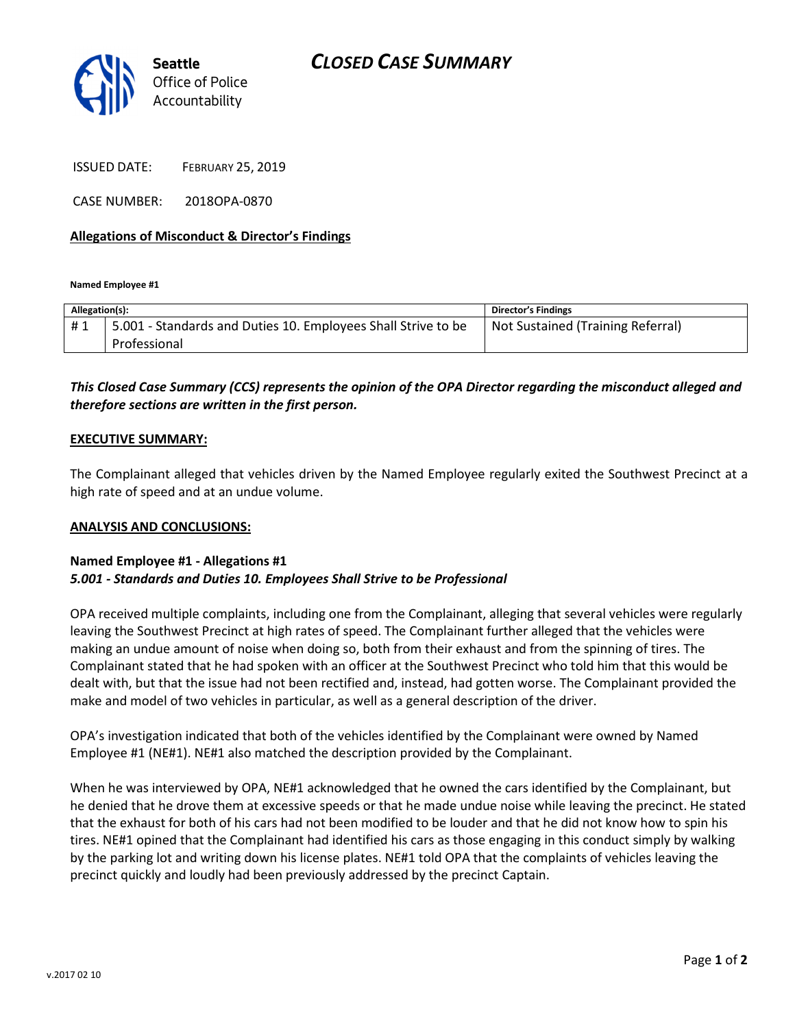

ISSUED DATE: FEBRUARY 25, 2019

CASE NUMBER: 2018OPA-0870

#### Allegations of Misconduct & Director's Findings

Named Employee #1

| Allegation(s): |                                                                               | <b>Director's Findings</b>        |
|----------------|-------------------------------------------------------------------------------|-----------------------------------|
| #1             | 5.001 - Standards and Duties 10. Employees Shall Strive to be<br>Professional | Not Sustained (Training Referral) |
|                |                                                                               |                                   |

## This Closed Case Summary (CCS) represents the opinion of the OPA Director regarding the misconduct alleged and therefore sections are written in the first person.

#### EXECUTIVE SUMMARY:

The Complainant alleged that vehicles driven by the Named Employee regularly exited the Southwest Precinct at a high rate of speed and at an undue volume.

#### ANALYSIS AND CONCLUSIONS:

### Named Employee #1 - Allegations #1 5.001 - Standards and Duties 10. Employees Shall Strive to be Professional

OPA received multiple complaints, including one from the Complainant, alleging that several vehicles were regularly leaving the Southwest Precinct at high rates of speed. The Complainant further alleged that the vehicles were making an undue amount of noise when doing so, both from their exhaust and from the spinning of tires. The Complainant stated that he had spoken with an officer at the Southwest Precinct who told him that this would be dealt with, but that the issue had not been rectified and, instead, had gotten worse. The Complainant provided the make and model of two vehicles in particular, as well as a general description of the driver.

OPA's investigation indicated that both of the vehicles identified by the Complainant were owned by Named Employee #1 (NE#1). NE#1 also matched the description provided by the Complainant.

When he was interviewed by OPA, NE#1 acknowledged that he owned the cars identified by the Complainant, but he denied that he drove them at excessive speeds or that he made undue noise while leaving the precinct. He stated that the exhaust for both of his cars had not been modified to be louder and that he did not know how to spin his tires. NE#1 opined that the Complainant had identified his cars as those engaging in this conduct simply by walking by the parking lot and writing down his license plates. NE#1 told OPA that the complaints of vehicles leaving the precinct quickly and loudly had been previously addressed by the precinct Captain.